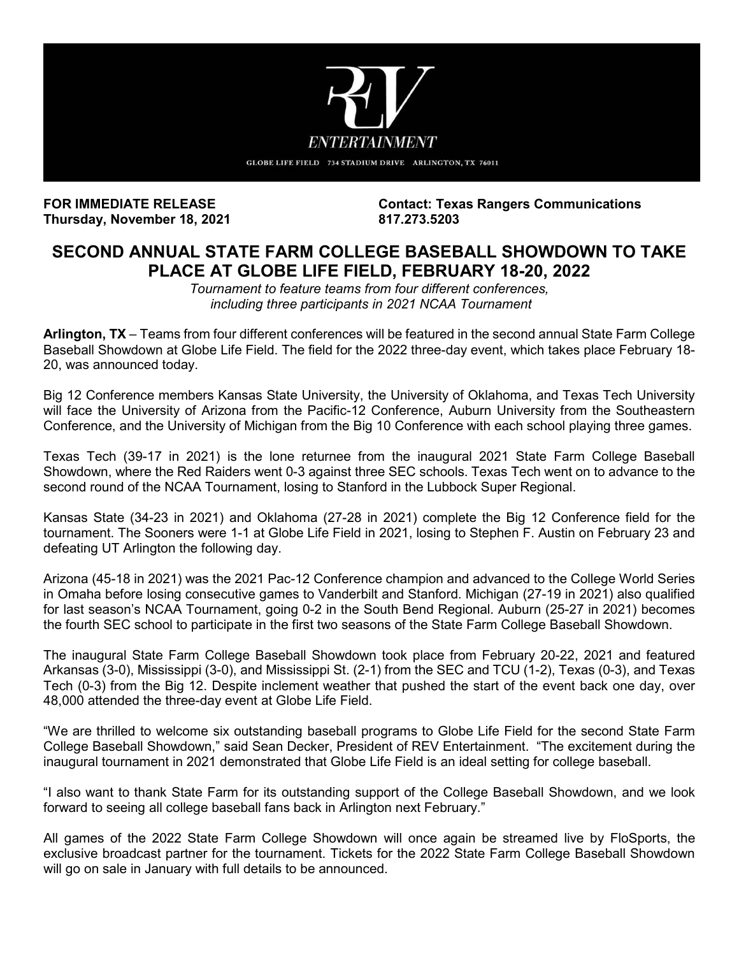

**Thursday, November 18, 2021** 

**FOR IMMEDIATE RELEASE Contact: Texas Rangers Communications**

# **SECOND ANNUAL STATE FARM COLLEGE BASEBALL SHOWDOWN TO TAKE PLACE AT GLOBE LIFE FIELD, FEBRUARY 18-20, 2022**

*Tournament to feature teams from four different conferences, including three participants in 2021 NCAA Tournament*

**Arlington, TX** – Teams from four different conferences will be featured in the second annual State Farm College Baseball Showdown at Globe Life Field. The field for the 2022 three-day event, which takes place February 18- 20, was announced today.

Big 12 Conference members Kansas State University, the University of Oklahoma, and Texas Tech University will face the University of Arizona from the Pacific-12 Conference, Auburn University from the Southeastern Conference, and the University of Michigan from the Big 10 Conference with each school playing three games.

Texas Tech (39-17 in 2021) is the lone returnee from the inaugural 2021 State Farm College Baseball Showdown, where the Red Raiders went 0-3 against three SEC schools. Texas Tech went on to advance to the second round of the NCAA Tournament, losing to Stanford in the Lubbock Super Regional.

Kansas State (34-23 in 2021) and Oklahoma (27-28 in 2021) complete the Big 12 Conference field for the tournament. The Sooners were 1-1 at Globe Life Field in 2021, losing to Stephen F. Austin on February 23 and defeating UT Arlington the following day.

Arizona (45-18 in 2021) was the 2021 Pac-12 Conference champion and advanced to the College World Series in Omaha before losing consecutive games to Vanderbilt and Stanford. Michigan (27-19 in 2021) also qualified for last season's NCAA Tournament, going 0-2 in the South Bend Regional. Auburn (25-27 in 2021) becomes the fourth SEC school to participate in the first two seasons of the State Farm College Baseball Showdown.

The inaugural State Farm College Baseball Showdown took place from February 20-22, 2021 and featured Arkansas (3-0), Mississippi (3-0), and Mississippi St. (2-1) from the SEC and TCU (1-2), Texas (0-3), and Texas Tech (0-3) from the Big 12. Despite inclement weather that pushed the start of the event back one day, over 48,000 attended the three-day event at Globe Life Field.

"We are thrilled to welcome six outstanding baseball programs to Globe Life Field for the second State Farm College Baseball Showdown," said Sean Decker, President of REV Entertainment. "The excitement during the inaugural tournament in 2021 demonstrated that Globe Life Field is an ideal setting for college baseball.

"I also want to thank State Farm for its outstanding support of the College Baseball Showdown, and we look forward to seeing all college baseball fans back in Arlington next February."

All games of the 2022 State Farm College Showdown will once again be streamed live by FloSports, the exclusive broadcast partner for the tournament. Tickets for the 2022 State Farm College Baseball Showdown will go on sale in January with full details to be announced.